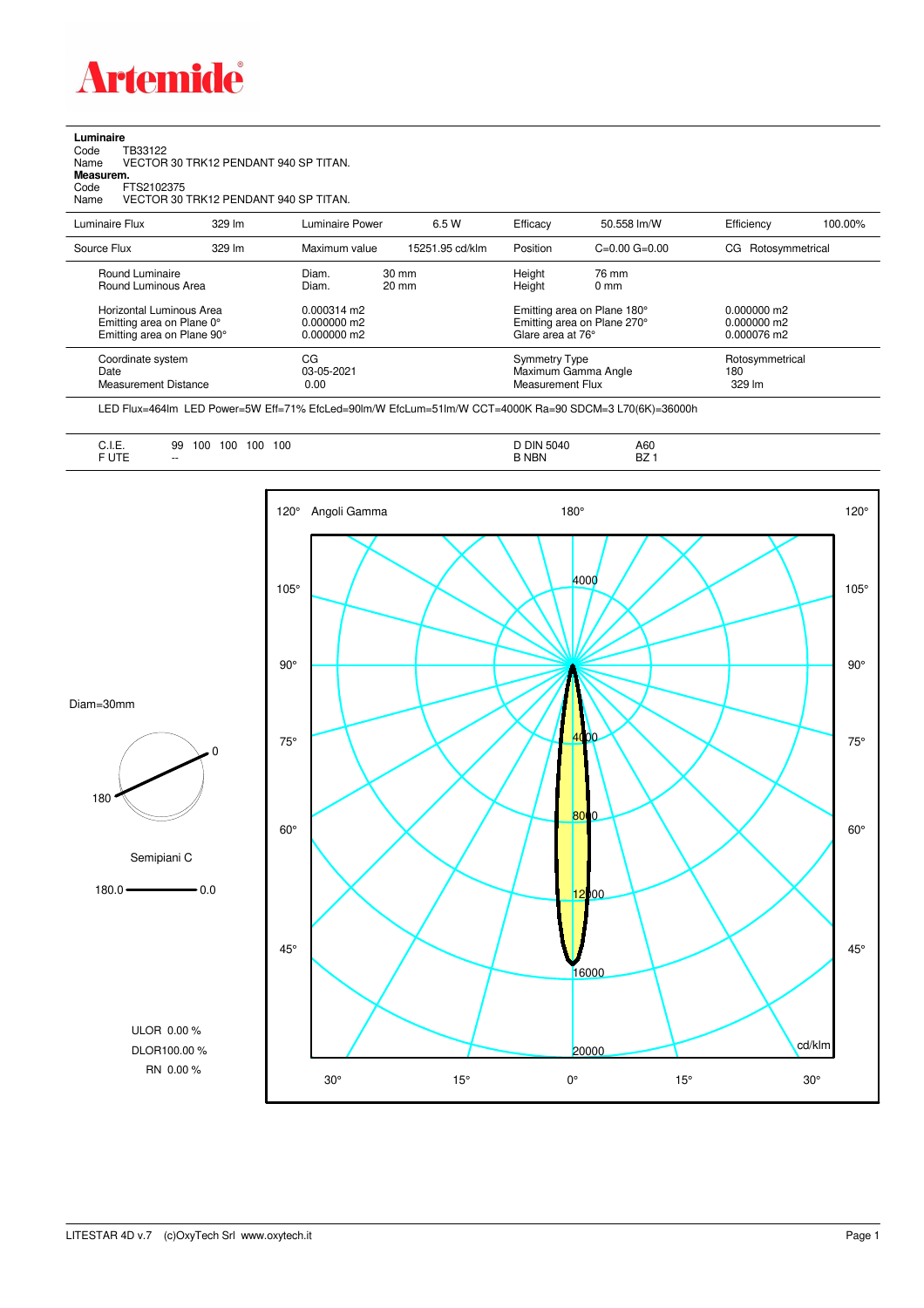

**Luminaire**<br>Code T<br>Name \ Code TB33122 Name VECTOR 30 TRK12 PENDANT 940 SP TITAN. **Measurem.**

Code FTS2102375

Name VECTOR 30 TRK12 PENDANT 940 SP TITAN.

| Luminaire Flux                                                                                                                | 329 lm | Luminaire Power                                                   | 6.5 W                              | Efficacy | 50.558 lm/W                                                                                                                    | Efficiency         | 100.00%                          |  |
|-------------------------------------------------------------------------------------------------------------------------------|--------|-------------------------------------------------------------------|------------------------------------|----------|--------------------------------------------------------------------------------------------------------------------------------|--------------------|----------------------------------|--|
| Source Flux                                                                                                                   | 329 lm | Maximum value                                                     | 15251.95 cd/klm                    | Position | $C=0.00$ $G=0.00$                                                                                                              | CG Rotosymmetrical |                                  |  |
| Round Luminaire<br>Round Luminous Area<br>Horizontal Luminous Area<br>Emitting area on Plane 0°<br>Emitting area on Plane 90° |        | Diam.<br>Diam.<br>$0.000314$ m2<br>$0.000000$ m2<br>$0.000000$ m2 | $30 \text{ mm}$<br>$20 \text{ mm}$ |          | Height<br>76 mm<br>Height<br>$0 \text{ mm}$<br>Emitting area on Plane 180°<br>Emitting area on Plane 270°<br>Glare area at 76° |                    |                                  |  |
| Coordinate system<br>Date<br><b>Measurement Distance</b>                                                                      |        | CG<br>03-05-2021<br>0.00                                          |                                    |          | <b>Symmetry Type</b><br>Maximum Gamma Angle<br>Measurement Flux                                                                |                    | Rotosymmetrical<br>180<br>329 lm |  |

LED Flux=464lm LED Power=5W Eff=71% EfcLed=90lm/W EfcLum=51lm/W CCT=4000K Ra=90 SDCM=3 L70(6K)=36000h